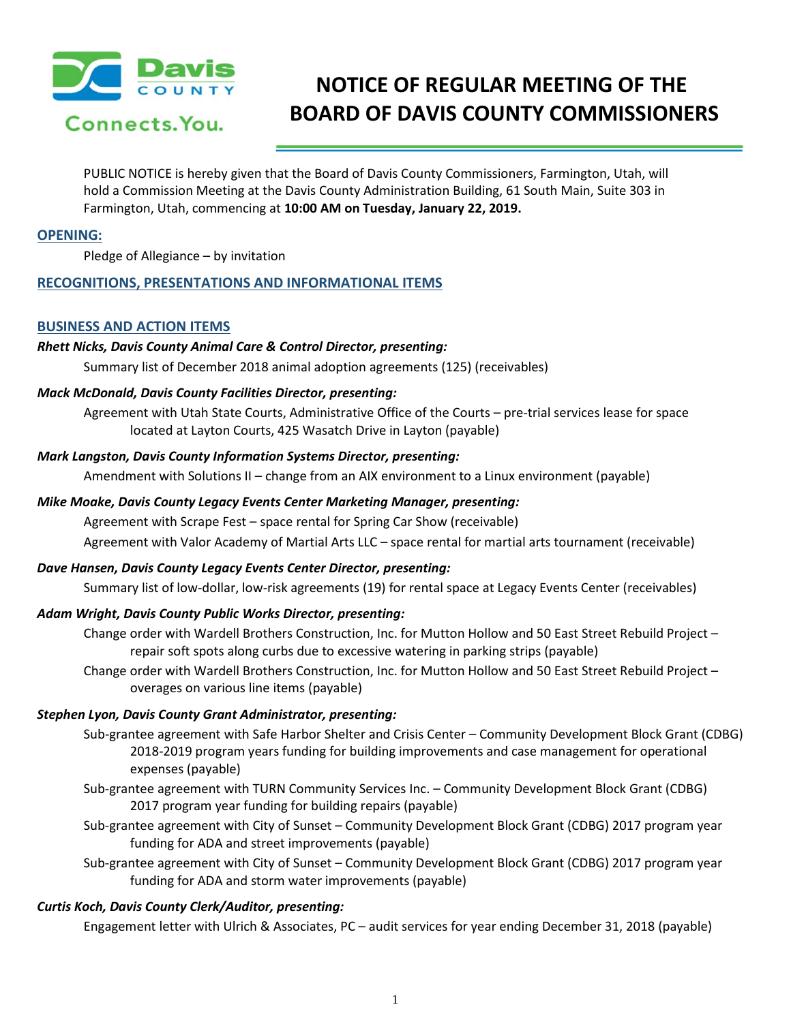

# **NOTICE OF REGULAR MEETING OF THE BOARD OF DAVIS COUNTY COMMISSIONERS**

PUBLIC NOTICE is hereby given that the Board of Davis County Commissioners, Farmington, Utah, will hold a Commission Meeting at the Davis County Administration Building, 61 South Main, Suite 303 in Farmington, Utah, commencing at **10:00 AM on Tuesday, January 22, 2019.**

## **OPENING:**

Pledge of Allegiance – by invitation

## **RECOGNITIONS, PRESENTATIONS AND INFORMATIONAL ITEMS**

## **BUSINESS AND ACTION ITEMS**

#### *Rhett Nicks, Davis County Animal Care & Control Director, presenting:*

Summary list of December 2018 animal adoption agreements (125) (receivables)

#### *Mack McDonald, Davis County Facilities Director, presenting:*

Agreement with Utah State Courts, Administrative Office of the Courts – pre-trial services lease for space located at Layton Courts, 425 Wasatch Drive in Layton (payable)

#### *Mark Langston, Davis County Information Systems Director, presenting:*

Amendment with Solutions II – change from an AIX environment to a Linux environment (payable)

#### *Mike Moake, Davis County Legacy Events Center Marketing Manager, presenting:*

Agreement with Scrape Fest – space rental for Spring Car Show (receivable)

Agreement with Valor Academy of Martial Arts LLC – space rental for martial arts tournament (receivable)

## *Dave Hansen, Davis County Legacy Events Center Director, presenting:*

Summary list of low-dollar, low-risk agreements (19) for rental space at Legacy Events Center (receivables)

## *Adam Wright, Davis County Public Works Director, presenting:*

- Change order with Wardell Brothers Construction, Inc. for Mutton Hollow and 50 East Street Rebuild Project repair soft spots along curbs due to excessive watering in parking strips (payable)
- Change order with Wardell Brothers Construction, Inc. for Mutton Hollow and 50 East Street Rebuild Project overages on various line items (payable)

## *Stephen Lyon, Davis County Grant Administrator, presenting:*

- Sub-grantee agreement with Safe Harbor Shelter and Crisis Center Community Development Block Grant (CDBG) 2018-2019 program years funding for building improvements and case management for operational expenses (payable)
- Sub-grantee agreement with TURN Community Services Inc. Community Development Block Grant (CDBG) 2017 program year funding for building repairs (payable)
- Sub-grantee agreement with City of Sunset Community Development Block Grant (CDBG) 2017 program year funding for ADA and street improvements (payable)
- Sub-grantee agreement with City of Sunset Community Development Block Grant (CDBG) 2017 program year funding for ADA and storm water improvements (payable)

## *Curtis Koch, Davis County Clerk/Auditor, presenting:*

Engagement letter with Ulrich & Associates, PC – audit services for year ending December 31, 2018 (payable)